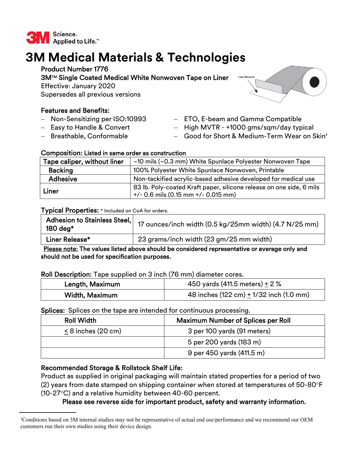

# **3M Medical Materials & Technologies**

# Product Number 1776

3MTM Single Coated Medical White Nonwoven Tape on Liner

Effective: January 2020

Supersedes all previous versions

# Features and Benefits:

- Non-Sensitizing per ISO:10993
- $-$  Easy to Handle & Convert
- Breathable, Conformable
- ETO, E-beam and Gamma Compatible
- High MVTR +1000 gms/sqm/day typical
- Good for Short & Medium-Term Wear on Skin<sup>1</sup>

## Composition: Listed in same order as construction

| Tape caliper, without liner | ~10 mils (~0.3 mm) White Spunlace Polyester Nonwoven Tape                                                       |
|-----------------------------|-----------------------------------------------------------------------------------------------------------------|
| <b>Backing</b>              | 100% Polyester White Spunlace Nonwoven, Printable                                                               |
| <b>Adhesive</b>             | Non-tackified acrylic-based adhesive developed for medical use                                                  |
| Liner                       | 83 lb. Poly-coated Kraft paper, silicone release on one side, 6 mils<br>$+/-$ 0.6 mils (0.15 mm $+/-$ 0.015 mm) |

#### Typical Properties: \* Included on CoA for orders.

| Adhesion to Stainless Steel,<br>180 deg $*$ | 17 ounces/inch width (0.5 kg/25mm width) (4.7 N/25 mm) |
|---------------------------------------------|--------------------------------------------------------|
| Liner Release*                              | 23 grams/inch width (23 gm/25 mm width)                |

 Please note: The values listed above should be considered representative or average only and should not be used for specification purposes.

### Roll Description: Tape supplied on 3 inch (76 mm) diameter cores.

| Length, Maximum | 450 yards (411.5 meters) + 2 %                              |
|-----------------|-------------------------------------------------------------|
| Width, Maximum  | 48 inches $(122 \text{ cm}) + 1/32$ inch $(1.0 \text{ mm})$ |

### Splices: Splices on the tape are intended for continuous processing.

| <b>Roll Width</b>    | <b>Maximum Number of Splices per Roll</b> |
|----------------------|-------------------------------------------|
| $< 8$ inches (20 cm) | 3 per 100 yards (91 meters)               |
|                      | 5 per 200 yards (183 m)                   |
|                      | 9 per 450 yards (411.5 m)                 |

# Recommended Storage & Rollstock Shelf Life:

Product as supplied in original packaging will maintain stated properties for a period of two (2) years from date stamped on shipping container when stored at temperatures of  $50$ -80 $\degree$ F (10-27 $\textdegree$ C) and a relative humidity between 40-60 percent.

# Please see reverse side for important product, safety and warranty information.



Conditions based on 3M internal studies may not be representative of actual end use/performance and we recommend our OEM customers run their own studies using their device design.